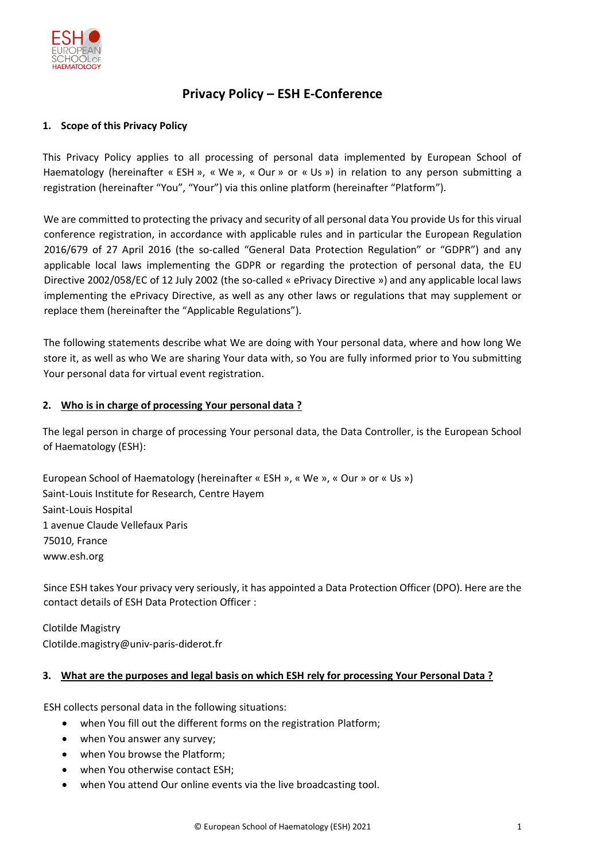

# **Privacy Policy – ESH E-Conference**

## **1. Scope of this Privacy Policy**

This Privacy Policy applies to all processing of personal data implemented by European School of Haematology (hereinafter « ESH », « We », « Our » or « Us ») in relation to any person submitting a registration (hereinafter "You", "Your") via this online platform (hereinafter "Platform").

We are committed to protecting the privacy and security of all personal data You provide Us for this virual conference registration, in accordance with applicable rules and in particular the European Regulation 2016/679 of 27 April 2016 (the so-called "General Data Protection Regulation" or "GDPR") and any applicable local laws implementing the GDPR or regarding the protection of personal data, the EU Directive 2002/058/EC of 12 July 2002 (the so-called « ePrivacy Directive ») and any applicable local laws implementing the ePrivacy Directive, as well as any other laws or regulations that may supplement or replace them (hereinafter the "Applicable Regulations").

The following statements describe what We are doing with Your personal data, where and how long We store it, as well as who We are sharing Your data with, so You are fully informed prior to You submitting Your personal data for virtual event registration.

### **2. Who is in charge of processing Your personal data ?**

The legal person in charge of processing Your personal data, the Data Controller, is the European School of Haematology (ESH):

European School of Haematology (hereinafter « ESH », « We », « Our » or « Us ») Saint-Louis Institute for Research, Centre Hayem Saint-Louis Hospital 1 avenue Claude Vellefaux Paris 75010, France www.esh.org

Since ESH takes Your privacy very seriously, it has appointed a Data Protection Officer (DPO). Here are the contact details of ESH Data Protection Officer :

Clotilde Magistry Clotilde.magistry@univ-paris-diderot.fr

### **3. What are the purposes and legal basis on which ESH rely for processing Your Personal Data ?**

ESH collects personal data in the following situations:

- when You fill out the different forms on the registration Platform;
- when You answer any survey;
- when You browse the Platform;
- when You otherwise contact ESH;
- when You attend Our online events via the live broadcasting tool.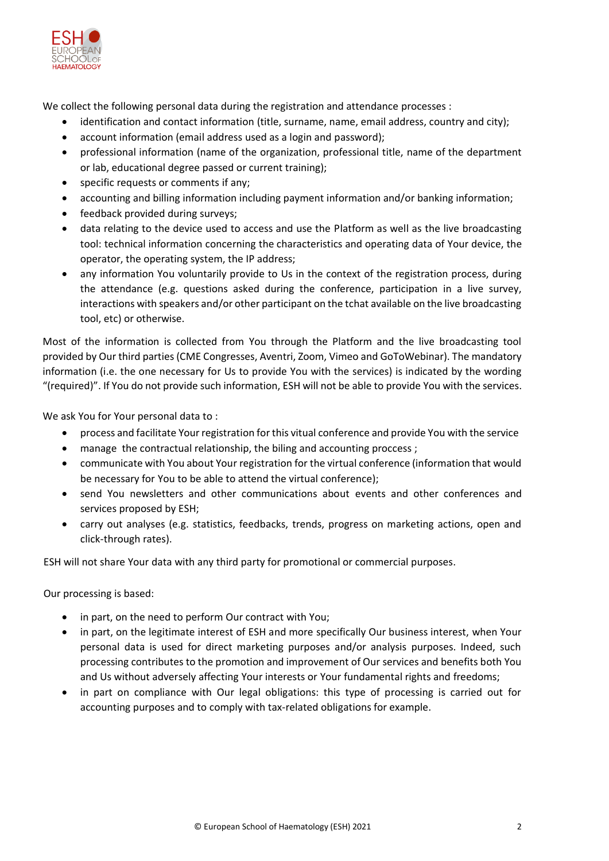

We collect the following personal data during the registration and attendance processes :

- identification and contact information (title, surname, name, email address, country and city);
- account information (email address used as a login and password);
- professional information (name of the organization, professional title, name of the department or lab, educational degree passed or current training);
- specific requests or comments if any;
- accounting and billing information including payment information and/or banking information;
- feedback provided during surveys;
- data relating to the device used to access and use the Platform as well as the live broadcasting tool: technical information concerning the characteristics and operating data of Your device, the operator, the operating system, the IP address;
- any information You voluntarily provide to Us in the context of the registration process, during the attendance (e.g. questions asked during the conference, participation in a live survey, interactions with speakers and/or other participant on the tchat available on the live broadcasting tool, etc) or otherwise.

Most of the information is collected from You through the Platform and the live broadcasting tool provided by Our third parties (CME Congresses, Aventri, Zoom, Vimeo and GoToWebinar). The mandatory information (i.e. the one necessary for Us to provide You with the services) is indicated by the wording "(required)". If You do not provide such information, ESH will not be able to provide You with the services.

We ask You for Your personal data to :

- process and facilitate Your registration for this vitual conference and provide You with the service
- manage the contractual relationship, the biling and accounting proccess;
- communicate with You about Your registration for the virtual conference (information that would be necessary for You to be able to attend the virtual conference);
- send You newsletters and other communications about events and other conferences and services proposed by ESH;
- carry out analyses (e.g. statistics, feedbacks, trends, progress on marketing actions, open and click-through rates).

ESH will not share Your data with any third party for promotional or commercial purposes.

Our processing is based:

- in part, on the need to perform Our contract with You;
- in part, on the legitimate interest of ESH and more specifically Our business interest, when Your personal data is used for direct marketing purposes and/or analysis purposes. Indeed, such processing contributes to the promotion and improvement of Our services and benefits both You and Us without adversely affecting Your interests or Your fundamental rights and freedoms;
- in part on compliance with Our legal obligations: this type of processing is carried out for accounting purposes and to comply with tax-related obligations for example.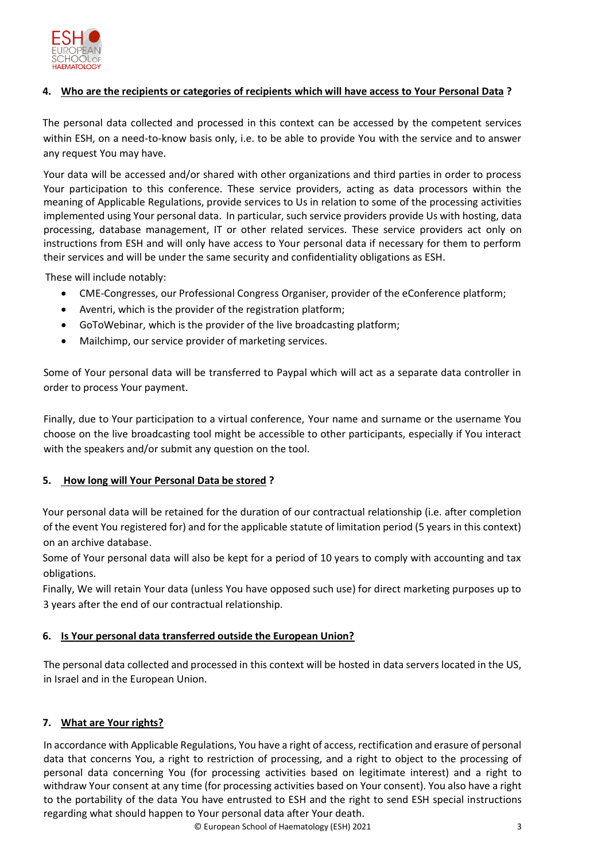

# **4. Who are the recipients or categories of recipients which will have access to Your Personal Data ?**

The personal data collected and processed in this context can be accessed by the competent services within ESH, on a need-to-know basis only, i.e. to be able to provide You with the service and to answer any request You may have.

Your data will be accessed and/or shared with other organizations and third parties in order to process Your participation to this conference. These service providers, acting as data processors within the meaning of Applicable Regulations, provide services to Us in relation to some of the processing activities implemented using Your personal data. In particular, such service providers provide Us with hosting, data processing, database management, IT or other related services. These service providers act only on instructions from ESH and will only have access to Your personal data if necessary for them to perform their services and will be under the same security and confidentiality obligations as ESH.

These will include notably:

- CME-Congresses, our Professional Congress Organiser, provider of the eConference platform;
- Aventri, which is the provider of the registration platform;
- GoToWebinar, which is the provider of the live broadcasting platform;
- Mailchimp, our service provider of marketing services.

Some of Your personal data will be transferred to Paypal which will act as a separate data controller in order to process Your payment.

Finally, due to Your participation to a virtual conference, Your name and surname or the username You choose on the live broadcasting tool might be accessible to other participants, especially if You interact with the speakers and/or submit any question on the tool.

# **5. How long will Your Personal Data be stored ?**

Your personal data will be retained for the duration of our contractual relationship (i.e. after completion of the event You registered for) and for the applicable statute of limitation period (5 years in this context) on an archive database.

Some of Your personal data will also be kept for a period of 10 years to comply with accounting and tax obligations.

Finally, We will retain Your data (unless You have opposed such use) for direct marketing purposes up to 3 years after the end of our contractual relationship.

# **6. Is Your personal data transferred outside the European Union?**

The personal data collected and processed in this context will be hosted in data servers located in the US, in Israel and in the European Union.

# **7. What are Your rights?**

In accordance with Applicable Regulations, You have a right of access, rectification and erasure of personal data that concerns You, a right to restriction of processing, and a right to object to the processing of personal data concerning You (for processing activities based on legitimate interest) and a right to withdraw Your consent at any time (for processing activities based on Your consent). You also have a right to the portability of the data You have entrusted to ESH and the right to send ESH special instructions regarding what should happen to Your personal data after Your death.

© European School of Haematology (ESH) 2021 3